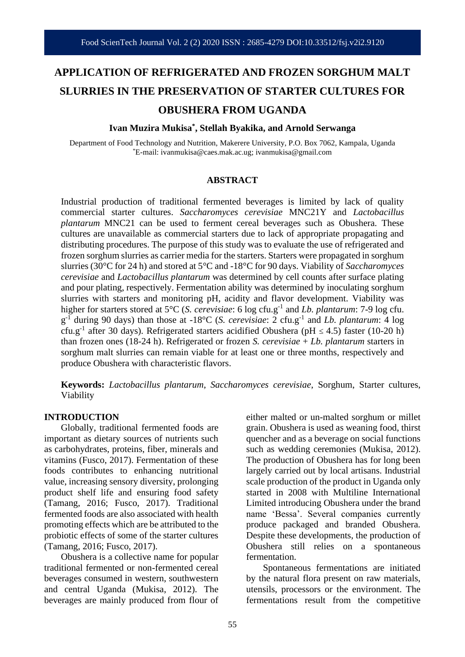# **APPLICATION OF REFRIGERATED AND FROZEN SORGHUM MALT SLURRIES IN THE PRESERVATION OF STARTER CULTURES FOR OBUSHERA FROM UGANDA**

#### **Ivan Muzira Mukisa\* , Stellah Byakika, and Arnold Serwanga**

Department of Food Technology and Nutrition, Makerere University, P.O. Box 7062, Kampala, Uganda \*E-mail: ivanmukisa@caes.mak.ac.ug; ivanmukisa@gmail.com

#### **ABSTRACT**

Industrial production of traditional fermented beverages is limited by lack of quality commercial starter cultures. *Saccharomyces cerevisiae* MNC21Y and *Lactobacillus plantarum* MNC21 can be used to ferment cereal beverages such as Obushera. These cultures are unavailable as commercial starters due to lack of appropriate propagating and distributing procedures. The purpose of this study was to evaluate the use of refrigerated and frozen sorghum slurries as carrier media for the starters. Starters were propagated in sorghum slurries (30°C for 24 h) and stored at 5°C and -18°C for 90 days. Viability of *Saccharomyces cerevisiae* and *Lactobacillus plantarum* was determined by cell counts after surface plating and pour plating, respectively. Fermentation ability was determined by inoculating sorghum slurries with starters and monitoring pH, acidity and flavor development. Viability was higher for starters stored at 5°C (*S. cerevisiae*: 6 log cfu.g-1 and *Lb. plantarum*: 7-9 log cfu. g<sup>-1</sup> during 90 days) than those at -18°C (*S. cerevisiae*: 2 cfu.g<sup>-1</sup> and *Lb. plantarum*: 4 log cfu.g<sup>-1</sup> after 30 days). Refrigerated starters acidified Obushera (pH  $\leq$  4.5) faster (10-20 h) than frozen ones (18-24 h). Refrigerated or frozen *S. cerevisiae* + *Lb. plantarum* starters in sorghum malt slurries can remain viable for at least one or three months, respectively and produce Obushera with characteristic flavors.

**Keywords:** *Lactobacillus plantarum*, *Saccharomyces cerevisiae*, Sorghum, Starter cultures, Viability

#### **INTRODUCTION**

Globally, traditional fermented foods are important as dietary sources of nutrients such as carbohydrates, proteins, fiber, minerals and vitamins (Fusco, 2017). Fermentation of these foods contributes to enhancing nutritional value, increasing sensory diversity, prolonging product shelf life and ensuring food safety (Tamang, 2016; Fusco, 2017). Traditional fermented foods are also associated with health promoting effects which are be attributed to the probiotic effects of some of the starter cultures (Tamang, 2016; Fusco, 2017).

Obushera is a collective name for popular traditional fermented or non-fermented cereal beverages consumed in western, southwestern and central Uganda (Mukisa, 2012). The beverages are mainly produced from flour of either malted or un-malted sorghum or millet grain. Obushera is used as weaning food, thirst quencher and as a beverage on social functions such as wedding ceremonies (Mukisa, 2012). The production of Obushera has for long been largely carried out by local artisans. Industrial scale production of the product in Uganda only started in 2008 with Multiline International Limited introducing Obushera under the brand name 'Bessa'. Several companies currently produce packaged and branded Obushera. Despite these developments, the production of Obushera still relies on a spontaneous fermentation.

Spontaneous fermentations are initiated by the natural flora present on raw materials, utensils, processors or the environment. The fermentations result from the competitive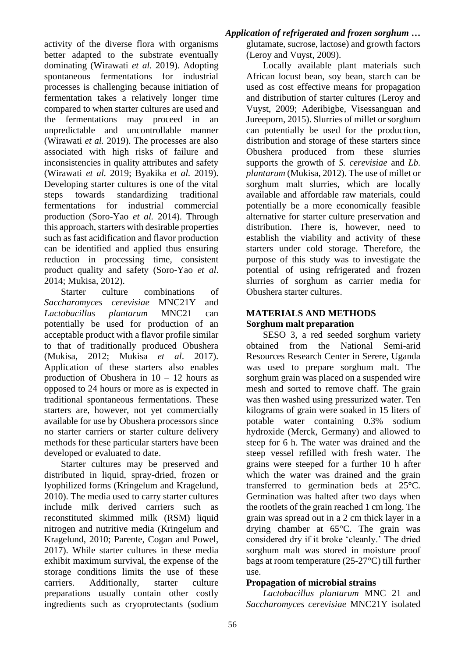activity of the diverse flora with organisms better adapted to the substrate eventually dominating (Wirawati *et al.* 2019). Adopting spontaneous fermentations for industrial processes is challenging because initiation of fermentation takes a relatively longer time compared to when starter cultures are used and the fermentations may proceed in an unpredictable and uncontrollable manner (Wirawati *et al.* 2019). The processes are also associated with high risks of failure and inconsistencies in quality attributes and safety (Wirawati *et al.* 2019; Byakika *et al.* 2019). Developing starter cultures is one of the vital steps towards standardizing traditional fermentations for industrial commercial production (Soro-Yao *et al.* 2014). Through this approach, starters with desirable properties such as fast acidification and flavor production can be identified and applied thus ensuring reduction in processing time, consistent product quality and safety (Soro-Yao *et al*. 2014; Mukisa, 2012).

Starter culture combinations of *Saccharomyces cerevisiae* MNC21Y and *Lactobacillus plantarum* MNC21 can potentially be used for production of an acceptable product with a flavor profile similar to that of traditionally produced Obushera (Mukisa, 2012; Mukisa *et al*. 2017). Application of these starters also enables production of Obushera in 10 – 12 hours as opposed to 24 hours or more as is expected in traditional spontaneous fermentations. These starters are, however, not yet commercially available for use by Obushera processors since no starter carriers or starter culture delivery methods for these particular starters have been developed or evaluated to date.

Starter cultures may be preserved and distributed in liquid, spray-dried, frozen or lyophilized forms (Kringelum and Kragelund, 2010). The media used to carry starter cultures include milk derived carriers such as reconstituted skimmed milk (RSM) liquid nitrogen and nutritive media (Kringelum and Kragelund, 2010; Parente, Cogan and Powel, 2017). While starter cultures in these media exhibit maximum survival, the expense of the storage conditions limits the use of these carriers. Additionally, starter culture preparations usually contain other costly ingredients such as cryoprotectants (sodium

# *Application of refrigerated and frozen sorghum …*

glutamate, sucrose, lactose) and growth factors (Leroy and Vuyst, 2009).

Locally available plant materials such African locust bean, soy bean, starch can be used as cost effective means for propagation and distribution of starter cultures (Leroy and Vuyst, 2009; Aderibigbe, Visessanguan and Jureeporn, 2015). Slurries of millet or sorghum can potentially be used for the production, distribution and storage of these starters since Obushera produced from these slurries supports the growth of *S. cerevisiae* and *Lb. plantarum* (Mukisa, 2012). The use of millet or sorghum malt slurries, which are locally available and affordable raw materials, could potentially be a more economically feasible alternative for starter culture preservation and distribution. There is, however, need to establish the viability and activity of these starters under cold storage. Therefore, the purpose of this study was to investigate the potential of using refrigerated and frozen slurries of sorghum as carrier media for Obushera starter cultures.

# **MATERIALS AND METHODS Sorghum malt preparation**

SESO 3, a red seeded sorghum variety obtained from the National Semi-arid Resources Research Center in Serere, Uganda was used to prepare sorghum malt. The sorghum grain was placed on a suspended wire mesh and sorted to remove chaff. The grain was then washed using pressurized water. Ten kilograms of grain were soaked in 15 liters of potable water containing 0.3% sodium hydroxide (Merck, Germany) and allowed to steep for 6 h. The water was drained and the steep vessel refilled with fresh water. The grains were steeped for a further 10 h after which the water was drained and the grain transferred to germination beds at 25°C. Germination was halted after two days when the rootlets of the grain reached 1 cm long. The grain was spread out in a 2 cm thick layer in a drying chamber at 65°C. The grain was considered dry if it broke 'cleanly.' The dried sorghum malt was stored in moisture proof bags at room temperature (25-27°C) till further use.

# **Propagation of microbial strains**

*Lactobacillus plantarum* MNC 21 and *Saccharomyces cerevisiae* MNC21Y isolated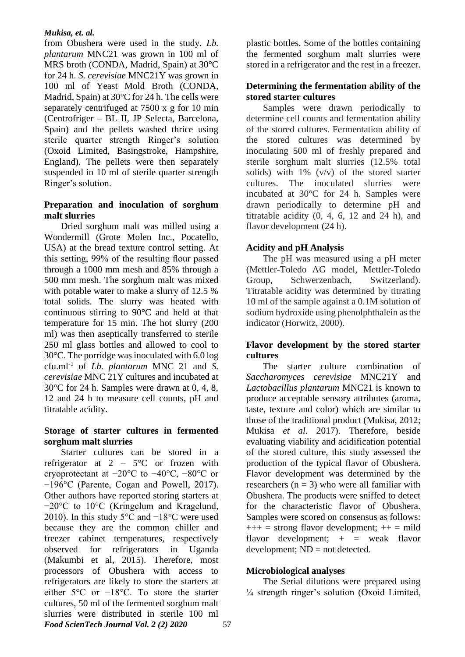## *Mukisa, et. al.*

from Obushera were used in the study. *Lb. plantarum* MNC21 was grown in 100 ml of MRS broth (CONDA, Madrid, Spain) at 30°C for 24 h. *S. cerevisiae* MNC21Y was grown in 100 ml of Yeast Mold Broth (CONDA, Madrid, Spain) at 30°C for 24 h. The cells were separately centrifuged at 7500 x g for 10 min (Centrofriger – BL II, JP Selecta, Barcelona, Spain) and the pellets washed thrice using sterile quarter strength Ringer's solution (Oxoid Limited, Basingstroke, Hampshire, England). The pellets were then separately suspended in 10 ml of sterile quarter strength Ringer's solution.

# **Preparation and inoculation of sorghum malt slurries**

Dried sorghum malt was milled using a Wondermill (Grote Molen Inc., Pocatello, USA) at the bread texture control setting. At this setting, 99% of the resulting flour passed through a 1000 mm mesh and 85% through a 500 mm mesh. The sorghum malt was mixed with potable water to make a slurry of 12.5 % total solids. The slurry was heated with continuous stirring to 90°C and held at that temperature for 15 min. The hot slurry (200 ml) was then aseptically transferred to sterile 250 ml glass bottles and allowed to cool to 30°C. The porridge was inoculated with 6.0 log cfu.ml-1 of *Lb. plantarum* MNC 21 and *S. cerevisiae* MNC 21Y cultures and incubated at 30°C for 24 h. Samples were drawn at 0, 4, 8, 12 and 24 h to measure cell counts, pH and titratable acidity.

# **Storage of starter cultures in fermented sorghum malt slurries**

*Food ScienTech Journal Vol. 2 (2) 2020* 57 Starter cultures can be stored in a refrigerator at  $2 - 5$ °C or frozen with cryoprotectant at −20°C to −40°C, −80°C or −196°C (Parente, Cogan and Powell, 2017). Other authors have reported storing starters at −20°C to 10°C (Kringelum and Kragelund, 2010). In this study 5°C and −18°C were used because they are the common chiller and freezer cabinet temperatures, respectively observed for refrigerators in Uganda (Makumbi et al, 2015). Therefore, most processors of Obushera with access to refrigerators are likely to store the starters at either 5°C or −18°C. To store the starter cultures, 50 ml of the fermented sorghum malt slurries were distributed in sterile 100 ml

plastic bottles. Some of the bottles containing the fermented sorghum malt slurries were stored in a refrigerator and the rest in a freezer.

## **Determining the fermentation ability of the stored starter cultures**

Samples were drawn periodically to determine cell counts and fermentation ability of the stored cultures. Fermentation ability of the stored cultures was determined by inoculating 500 ml of freshly prepared and sterile sorghum malt slurries (12.5% total solids) with  $1\%$  (v/v) of the stored starter cultures. The inoculated slurries were incubated at 30°C for 24 h. Samples were drawn periodically to determine pH and titratable acidity  $(0, 4, 6, 12, 12)$  and  $(24, 16)$ , and flavor development (24 h).

# **Acidity and pH Analysis**

The pH was measured using a pH meter (Mettler-Toledo AG model, Mettler-Toledo Group, Schwerzenbach, Switzerland). Titratable acidity was determined by titrating 10 ml of the sample against a 0.1M solution of sodium hydroxide using phenolphthalein as the indicator (Horwitz, 2000).

## **Flavor development by the stored starter cultures**

The starter culture combination of *Saccharomyces cerevisiae* MNC21Y and *Lactobacillus plantarum* MNC21 is known to produce acceptable sensory attributes (aroma, taste, texture and color) which are similar to those of the traditional product (Mukisa, 2012; Mukisa *et al.* 2017). Therefore, beside evaluating viability and acidification potential of the stored culture, this study assessed the production of the typical flavor of Obushera. Flavor development was determined by the researchers  $(n = 3)$  who were all familiar with Obushera. The products were sniffed to detect for the characteristic flavor of Obushera. Samples were scored on consensus as follows:  $+++$  = strong flavor development;  $++$  = mild flavor development;  $+$  = weak flavor  $development$ ;  $ND = not detected$ .

# **Microbiological analyses**

The Serial dilutions were prepared using ¼ strength ringer's solution (Oxoid Limited,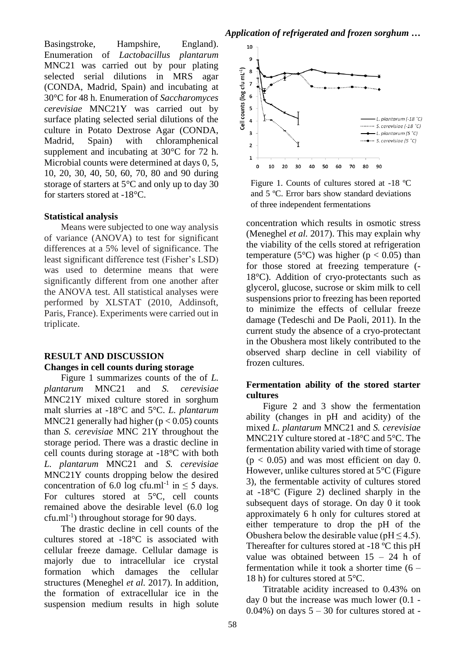Basingstroke, Hampshire, England). Enumeration of *Lactobacillus plantarum* MNC21 was carried out by pour plating selected serial dilutions in MRS agar (CONDA, Madrid, Spain) and incubating at 30°C for 48 h. Enumeration of *Saccharomyces cerevisiae* MNC21Y was carried out by surface plating selected serial dilutions of the culture in Potato Dextrose Agar (CONDA, Madrid, Spain) with chloramphenical supplement and incubating at 30°C for 72 h. Microbial counts were determined at days 0, 5, 10, 20, 30, 40, 50, 60, 70, 80 and 90 during storage of starters at 5°C and only up to day 30 for starters stored at -18°C.

## **Statistical analysis**

Means were subjected to one way analysis of variance (ANOVA) to test for significant differences at a 5% level of significance. The least significant difference test (Fisher's LSD) was used to determine means that were significantly different from one another after the ANOVA test. All statistical analyses were performed by XLSTAT (2010, Addinsoft, Paris, France). Experiments were carried out in triplicate.

# **RESULT AND DISCUSSION**

# **Changes in cell counts during storage**

Figure 1 summarizes counts of the of *L. plantarum* MNC21 and *S. cerevisiae* MNC21Y mixed culture stored in sorghum malt slurries at -18°C and 5°C. *L. plantarum* MNC21 generally had higher ( $p < 0.05$ ) counts than *S. cerevisiae* MNC 21Y throughout the storage period. There was a drastic decline in cell counts during storage at -18°C with both *L. plantarum* MNC21 and *S. cerevisiae* MNC21Y counts dropping below the desired concentration of 6.0 log cfu.ml<sup>-1</sup> in  $\leq$  5 days. For cultures stored at 5°C, cell counts remained above the desirable level (6.0 log  $cfu.m<sup>1</sup>$ ) throughout storage for 90 days.

The drastic decline in cell counts of the cultures stored at -18°C is associated with cellular freeze damage. Cellular damage is majorly due to intracellular ice crystal formation which damages the cellular structures (Meneghel *et al.* 2017). In addition, the formation of extracellular ice in the suspension medium results in high solute



Figure 1. Counts of cultures stored at -18 ºC and 5 ºC. Error bars show standard deviations of three independent fermentations

concentration which results in osmotic stress (Meneghel *et al.* 2017). This may explain why the viability of the cells stored at refrigeration temperature (5 $^{\circ}$ C) was higher (p < 0.05) than for those stored at freezing temperature (- 18°C). Addition of cryo-protectants such as glycerol, glucose, sucrose or skim milk to cell suspensions prior to freezing has been reported to minimize the effects of cellular freeze damage (Tedeschi and De Paoli, 2011). In the current study the absence of a cryo-protectant in the Obushera most likely contributed to the observed sharp decline in cell viability of frozen cultures.

## **Fermentation ability of the stored starter cultures**

Figure 2 and 3 show the fermentation ability (changes in pH and acidity) of the mixed *L. plantarum* MNC21 and *S. cerevisiae* MNC21Y culture stored at -18°C and 5°C. The fermentation ability varied with time of storage  $(p < 0.05)$  and was most efficient on day 0. However, unlike cultures stored at 5°C (Figure 3), the fermentable activity of cultures stored at -18°C (Figure 2) declined sharply in the subsequent days of storage. On day 0 it took approximately 6 h only for cultures stored at either temperature to drop the pH of the Obushera below the desirable value ( $pH \leq 4.5$ ). Thereafter for cultures stored at -18 ºC this pH value was obtained between 15 – 24 h of fermentation while it took a shorter time (6 – 18 h) for cultures stored at 5°C.

Titratable acidity increased to 0.43% on day 0 but the increase was much lower (0.1 -  $0.04\%$ ) on days  $5 - 30$  for cultures stored at -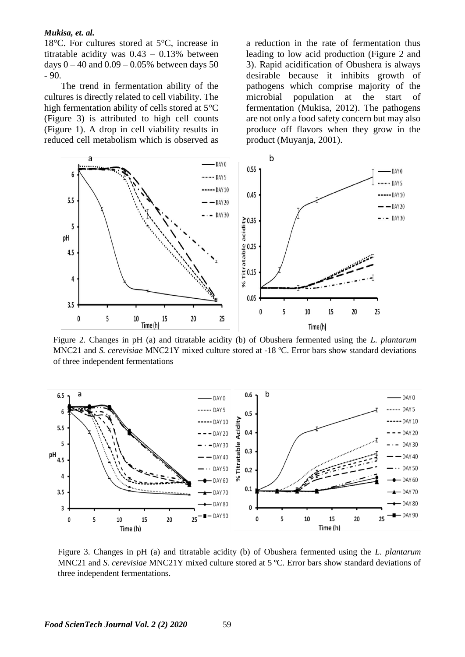#### *Mukisa, et. al.*

18°C. For cultures stored at 5°C, increase in titratable acidity was  $0.43 - 0.13\%$  between days  $0 - 40$  and  $0.09 - 0.05\%$  between days 50  $-90.$ 

The trend in fermentation ability of the cultures is directly related to cell viability. The high fermentation ability of cells stored at 5°C (Figure 3) is attributed to high cell counts (Figure 1). A drop in cell viability results in reduced cell metabolism which is observed as

a reduction in the rate of fermentation thus leading to low acid production (Figure 2 and 3). Rapid acidification of Obushera is always desirable because it inhibits growth of pathogens which comprise majority of the microbial population at the start of fermentation (Mukisa, 2012). The pathogens are not only a food safety concern but may also produce off flavors when they grow in the product (Muyanja, 2001).



Figure 2. Changes in pH (a) and titratable acidity (b) of Obushera fermented using the *L. plantarum* MNC21 and *S. cerevisiae* MNC21Y mixed culture stored at -18 ºC. Error bars show standard deviations of three independent fermentations



Figure 3. Changes in pH (a) and titratable acidity (b) of Obushera fermented using the *L. plantarum* MNC21 and *S. cerevisiae* MNC21Y mixed culture stored at 5 ºC. Error bars show standard deviations of three independent fermentations.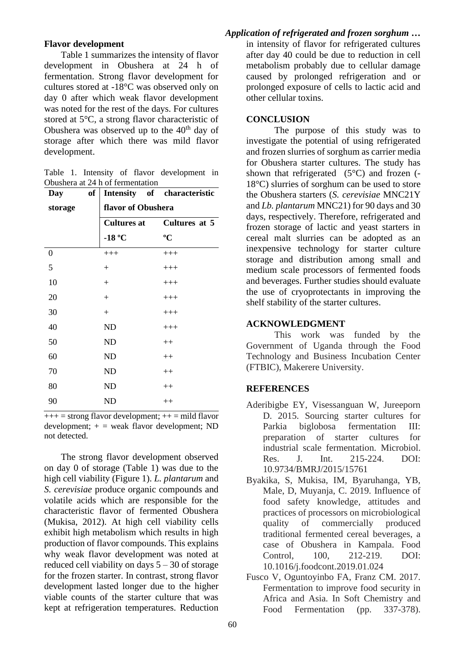#### **Flavor development**

Table 1 summarizes the intensity of flavor development in Obushera at 24 h of fermentation. Strong flavor development for cultures stored at -18°C was observed only on day 0 after which weak flavor development was noted for the rest of the days. For cultures stored at 5°C, a strong flavor characteristic of Obushera was observed up to the  $40<sup>th</sup>$  day of storage after which there was mild flavor development.

|                                  |  |  |  |  | Table 1. Intensity of flavor development in |  |  |
|----------------------------------|--|--|--|--|---------------------------------------------|--|--|
| Obushera at 24 h of fermentation |  |  |  |  |                                             |  |  |

| of<br>Day      |                    | Intensity of characteristic |  |  |
|----------------|--------------------|-----------------------------|--|--|
| storage        | flavor of Obushera |                             |  |  |
|                | <b>Cultures at</b> | Cultures at 5               |  |  |
|                | $-18$ °C           | $\rm ^oC$                   |  |  |
| $\overline{0}$ | $+++$              | $+++$                       |  |  |
| 5              | $^{+}$             | $+++$                       |  |  |
| 10             | $+$                | $+++$                       |  |  |
| 20             | $+$                | $+++$                       |  |  |
| 30             | $+$                | $+++$                       |  |  |
| 40             | <b>ND</b>          | $+++$                       |  |  |
| 50             | <b>ND</b>          | $++$                        |  |  |
| 60             | <b>ND</b>          | $++$                        |  |  |
| 70             | <b>ND</b>          | $++$                        |  |  |
| 80             | <b>ND</b>          | $^{++}$                     |  |  |
| 90             | ND                 | $++$                        |  |  |

 $+++$  = strong flavor development;  $++$  = mild flavor development;  $+$  = weak flavor development; ND not detected.

The strong flavor development observed on day 0 of storage (Table 1) was due to the high cell viability (Figure 1). *L. plantarum* and *S. cerevisiae* produce organic compounds and volatile acids which are responsible for the characteristic flavor of fermented Obushera (Mukisa, 2012). At high cell viability cells exhibit high metabolism which results in high production of flavor compounds. This explains why weak flavor development was noted at reduced cell viability on days  $5 - 30$  of storage for the frozen starter. In contrast, strong flavor development lasted longer due to the higher viable counts of the starter culture that was kept at refrigeration temperatures. Reduction

in intensity of flavor for refrigerated cultures after day 40 could be due to reduction in cell metabolism probably due to cellular damage caused by prolonged refrigeration and or prolonged exposure of cells to lactic acid and other cellular toxins.

#### **CONCLUSION**

The purpose of this study was to investigate the potential of using refrigerated and frozen slurries of sorghum as carrier media for Obushera starter cultures. The study has shown that refrigerated  $(5^{\circ}C)$  and frozen (-18°C) slurries of sorghum can be used to store the Obushera starters (*S. cerevisiae* MNC21Y and *Lb. plantarum* MNC21) for 90 days and 30 days, respectively. Therefore, refrigerated and frozen storage of lactic and yeast starters in cereal malt slurries can be adopted as an inexpensive technology for starter culture storage and distribution among small and medium scale processors of fermented foods and beverages. Further studies should evaluate the use of cryoprotectants in improving the shelf stability of the starter cultures.

#### **ACKNOWLEDGMENT**

This work was funded by the Government of Uganda through the Food Technology and Business Incubation Center (FTBIC), Makerere University.

#### **REFERENCES**

- Aderibigbe EY, Visessanguan W, Jureeporn D. 2015. Sourcing starter cultures for Parkia biglobosa fermentation III: preparation of starter cultures for industrial scale fermentation. Microbiol. Res. J. Int. 215-224. DOI: 10.9734/BMRJ/2015/15761
- Byakika, S, Mukisa, IM, Byaruhanga, YB, Male, D, Muyanja, C. 2019. Influence of food safety knowledge, attitudes and practices of processors on microbiological quality of commercially produced traditional fermented cereal beverages, a case of Obushera in Kampala. Food Control, 100, 212-219. DOI: 10.1016/j.foodcont.2019.01.024
- Fusco V, Oguntoyinbo FA, Franz CM. 2017. Fermentation to improve food security in Africa and Asia. In Soft Chemistry and Food Fermentation (pp. 337-378).